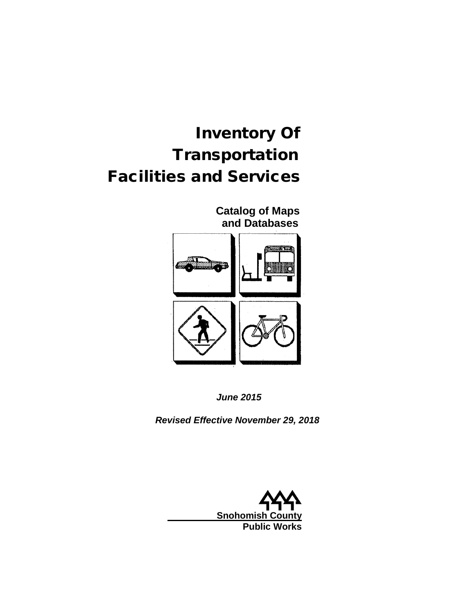# Inventory Of **Transportation** Facilities and Services

 **Catalog of Maps and Databases**



*June 2015*

*Revised Effective November 29, 2018*

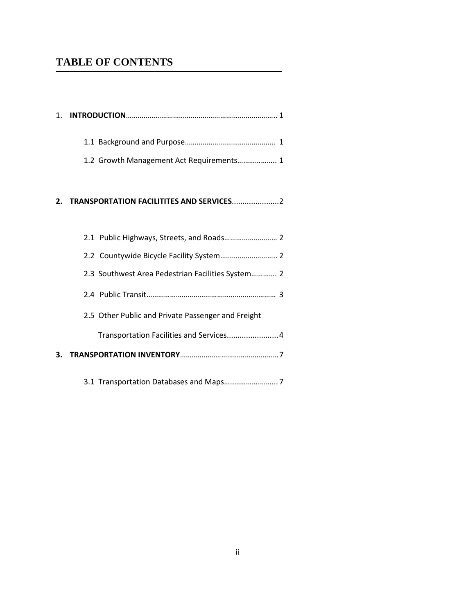# **TABLE OF CONTENTS**

| 1.2 Growth Management Act Requirements 1 |
|------------------------------------------|
|                                          |

#### **2. TRANSPORTATION FACILITITES AND SERVICES**......................2

| 2.3 Southwest Area Pedestrian Facilities System 2  |
|----------------------------------------------------|
|                                                    |
| 2.5 Other Public and Private Passenger and Freight |
| Transportation Facilities and Services 4           |
|                                                    |
|                                                    |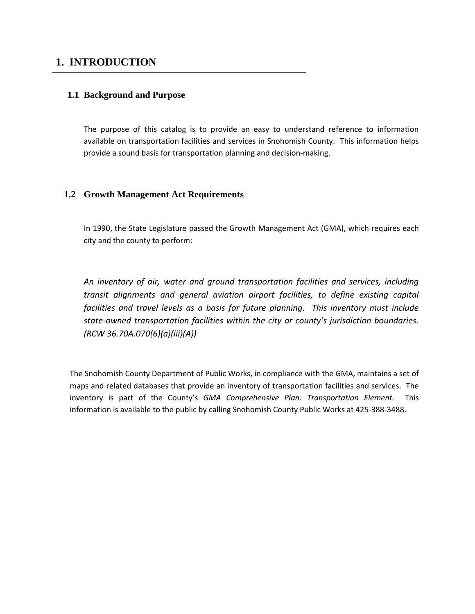## **1. INTRODUCTION**

#### **1.1 Background and Purpose**

The purpose of this catalog is to provide an easy to understand reference to information available on transportation facilities and services in Snohomish County. This information helps provide a sound basis for transportation planning and decision-making.

#### **1.2 Growth Management Act Requirements**

In 1990, the State Legislature passed the Growth Management Act (GMA), which requires each city and the county to perform:

*An inventory of air, water and ground transportation facilities and services, including transit alignments and general aviation airport facilities, to define existing capital facilities and travel levels as a basis for future planning. This inventory must include state-owned transportation facilities within the city or county's jurisdiction boundaries. (RCW 36.70A.070(6)(a)(iii)(A))*

The Snohomish County Department of Public Works, in compliance with the GMA, maintains a set of maps and related databases that provide an inventory of transportation facilities and services. The inventory is part of the County's *GMA Comprehensive Plan: Transportation Element*. This information is available to the public by calling Snohomish County Public Works at 425-388-3488.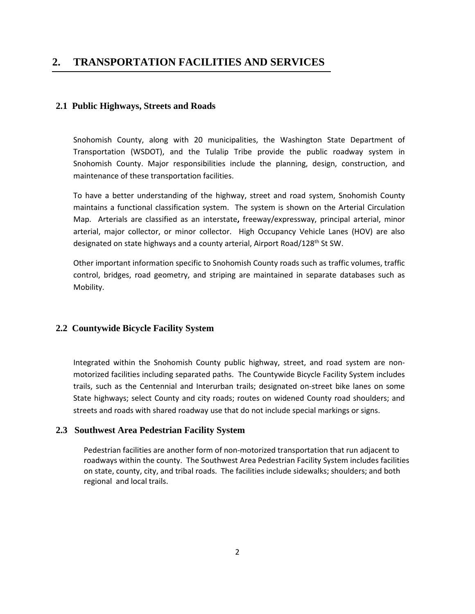### **2. TRANSPORTATION FACILITIES AND SERVICES**

#### **2.1 Public Highways, Streets and Roads**

Snohomish County, along with 20 municipalities, the Washington State Department of Transportation (WSDOT), and the Tulalip Tribe provide the public roadway system in Snohomish County. Major responsibilities include the planning, design, construction, and maintenance of these transportation facilities.

To have a better understanding of the highway, street and road system, Snohomish County maintains a functional classification system. The system is shown on the Arterial Circulation Map. Arterials are classified as an interstate**,** freeway/expressway, principal arterial, minor arterial, major collector, or minor collector. High Occupancy Vehicle Lanes (HOV) are also designated on state highways and a county arterial, Airport Road/128<sup>th</sup> St SW.

Other important information specific to Snohomish County roads such as traffic volumes, traffic control, bridges, road geometry, and striping are maintained in separate databases such as Mobility.

#### **2.2 Countywide Bicycle Facility System**

Integrated within the Snohomish County public highway, street, and road system are nonmotorized facilities including separated paths. The Countywide Bicycle Facility System includes trails, such as the Centennial and Interurban trails; designated on-street bike lanes on some State highways; select County and city roads; routes on widened County road shoulders; and streets and roads with shared roadway use that do not include special markings or signs.

#### **2.3 Southwest Area Pedestrian Facility System**

Pedestrian facilities are another form of non-motorized transportation that run adjacent to roadways within the county. The Southwest Area Pedestrian Facility System includes facilities on state, county, city, and tribal roads. The facilities include sidewalks; shoulders; and both regional and local trails.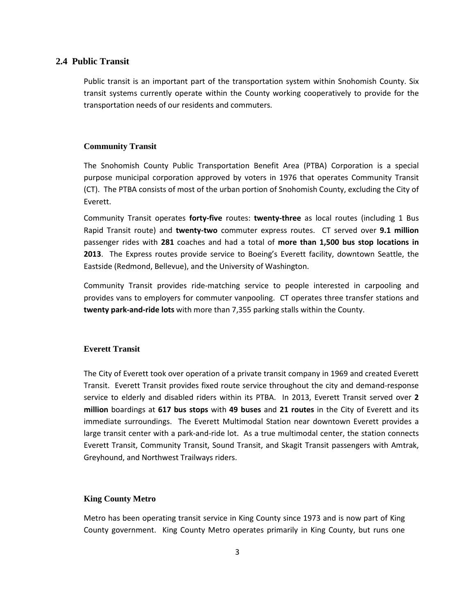#### **2.4 Public Transit**

Public transit is an important part of the transportation system within Snohomish County. Six transit systems currently operate within the County working cooperatively to provide for the transportation needs of our residents and commuters.

#### **Community Transit**

The Snohomish County Public Transportation Benefit Area (PTBA) Corporation is a special purpose municipal corporation approved by voters in 1976 that operates Community Transit (CT). The PTBA consists of most of the urban portion of Snohomish County, excluding the City of Everett.

Community Transit operates **forty-five** routes: **twenty-three** as local routes (including 1 Bus Rapid Transit route) and **twenty-two** commuter express routes. CT served over **9.1 million** passenger rides with **281** coaches and had a total of **more than 1,500 bus stop locations in 2013**. The Express routes provide service to Boeing's Everett facility, downtown Seattle, the Eastside (Redmond, Bellevue), and the University of Washington.

Community Transit provides ride-matching service to people interested in carpooling and provides vans to employers for commuter vanpooling. CT operates three transfer stations and **twenty park-and-ride lots** with more than 7,355 parking stalls within the County.

#### **Everett Transit**

The City of Everett took over operation of a private transit company in 1969 and created Everett Transit. Everett Transit provides fixed route service throughout the city and demand-response service to elderly and disabled riders within its PTBA. In 2013, Everett Transit served over **2 million** boardings at **617 bus stops** with **49 buses** and **21 routes** in the City of Everett and its immediate surroundings. The Everett Multimodal Station near downtown Everett provides a large transit center with a park-and-ride lot. As a true multimodal center, the station connects Everett Transit, Community Transit, Sound Transit, and Skagit Transit passengers with Amtrak, Greyhound, and Northwest Trailways riders.

#### **King County Metro**

Metro has been operating transit service in King County since 1973 and is now part of King County government. King County Metro operates primarily in King County, but runs one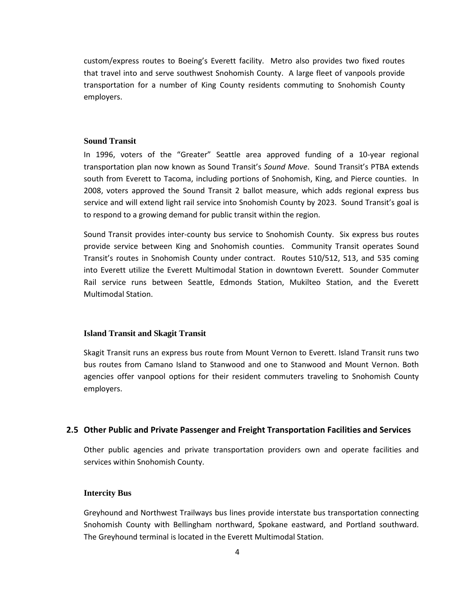custom/express routes to Boeing's Everett facility. Metro also provides two fixed routes that travel into and serve southwest Snohomish County. A large fleet of vanpools provide transportation for a number of King County residents commuting to Snohomish County employers.

#### **Sound Transit**

In 1996, voters of the "Greater" Seattle area approved funding of a 10-year regional transportation plan now known as Sound Transit's *Sound Move*. Sound Transit's PTBA extends south from Everett to Tacoma, including portions of Snohomish, King, and Pierce counties. In 2008, voters approved the Sound Transit 2 ballot measure, which adds regional express bus service and will extend light rail service into Snohomish County by 2023. Sound Transit's goal is to respond to a growing demand for public transit within the region.

Sound Transit provides inter-county bus service to Snohomish County. Six express bus routes provide service between King and Snohomish counties. Community Transit operates Sound Transit's routes in Snohomish County under contract. Routes 510/512, 513, and 535 coming into Everett utilize the Everett Multimodal Station in downtown Everett. Sounder Commuter Rail service runs between Seattle, Edmonds Station, Mukilteo Station, and the Everett Multimodal Station.

#### **Island Transit and Skagit Transit**

Skagit Transit runs an express bus route from Mount Vernon to Everett. Island Transit runs two bus routes from Camano Island to Stanwood and one to Stanwood and Mount Vernon. Both agencies offer vanpool options for their resident commuters traveling to Snohomish County employers.

#### **2.5 Other Public and Private Passenger and Freight Transportation Facilities and Services**

Other public agencies and private transportation providers own and operate facilities and services within Snohomish County.

#### **Intercity Bus**

Greyhound and Northwest Trailways bus lines provide interstate bus transportation connecting Snohomish County with Bellingham northward, Spokane eastward, and Portland southward. The Greyhound terminal is located in the Everett Multimodal Station.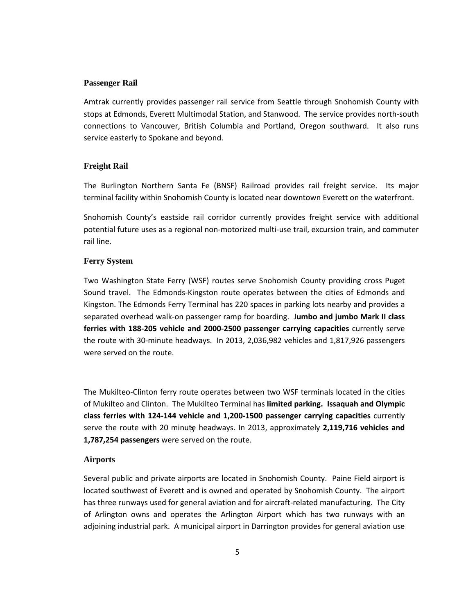#### **Passenger Rail**

Amtrak currently provides passenger rail service from Seattle through Snohomish County with stops at Edmonds, Everett Multimodal Station, and Stanwood. The service provides north-south connections to Vancouver, British Columbia and Portland, Oregon southward. It also runs service easterly to Spokane and beyond.

#### **Freight Rail**

The Burlington Northern Santa Fe (BNSF) Railroad provides rail freight service. Its major terminal facility within Snohomish County is located near downtown Everett on the waterfront.

Snohomish County's eastside rail corridor currently provides freight service with additional potential future uses as a regional non-motorized multi-use trail, excursion train, and commuter rail line.

#### **Ferry System**

Two Washington State Ferry (WSF) routes serve Snohomish County providing cross Puget Sound travel. The Edmonds-Kingston route operates between the cities of Edmonds and Kingston. The Edmonds Ferry Terminal has 220 spaces in parking lots nearby and provides a separated overhead walk-on passenger ramp for boarding. J**umbo and jumbo Mark II class ferries with 188-205 vehicle and 2000-2500 passenger carrying capacities** currently serve the route with 30-minute headways. In 2013, 2,036,982 vehicles and 1,817,926 passengers were served on the route.

The Mukilteo-Clinton ferry route operates between two WSF terminals located in the cities of Mukilteo and Clinton. The Mukilteo Terminal has **limited parking. Issaquah and Olympic class ferries with 124-144 vehicle and 1,200-1500 passenger carrying capacities** currently serve the route with 20 minute headways. In 2013, approximately 2,119,716 vehicles and **1,787,254 passengers** were served on the route.

#### **Airports**

Several public and private airports are located in Snohomish County. Paine Field airport is located southwest of Everett and is owned and operated by Snohomish County. The airport has three runways used for general aviation and for aircraft-related manufacturing. The City of Arlington owns and operates the Arlington Airport which has two runways with an adjoining industrial park. A municipal airport in Darrington provides for general aviation use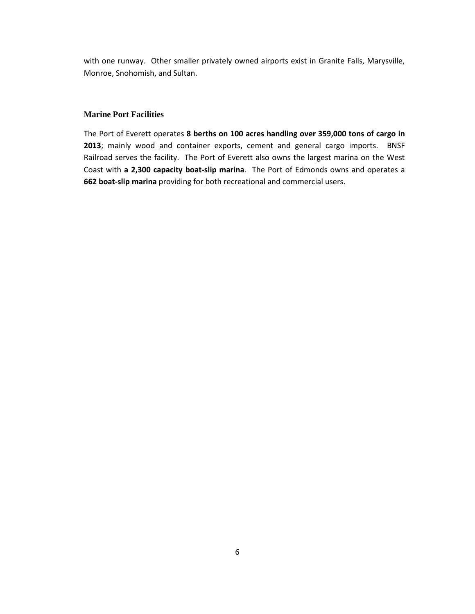with one runway. Other smaller privately owned airports exist in Granite Falls, Marysville, Monroe, Snohomish, and Sultan.

#### **Marine Port Facilities**

The Port of Everett operates **8 berths on 100 acres handling over 359,000 tons of cargo in 2013**; mainly wood and container exports, cement and general cargo imports. BNSF Railroad serves the facility. The Port of Everett also owns the largest marina on the West Coast with **a 2,300 capacity boat-slip marina**. The Port of Edmonds owns and operates a **662 boat-slip marina** providing for both recreational and commercial users.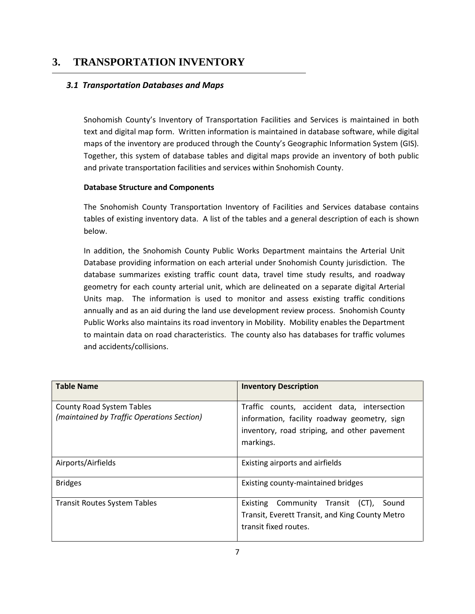# **3. TRANSPORTATION INVENTORY**

#### *3.1 Transportation Databases and Maps*

Snohomish County's Inventory of Transportation Facilities and Services is maintained in both text and digital map form. Written information is maintained in database software, while digital maps of the inventory are produced through the County's Geographic Information System (GIS). Together, this system of database tables and digital maps provide an inventory of both public and private transportation facilities and services within Snohomish County.

#### **Database Structure and Components**

The Snohomish County Transportation Inventory of Facilities and Services database contains tables of existing inventory data. A list of the tables and a general description of each is shown below.

In addition, the Snohomish County Public Works Department maintains the Arterial Unit Database providing information on each arterial under Snohomish County jurisdiction. The database summarizes existing traffic count data, travel time study results, and roadway geometry for each county arterial unit, which are delineated on a separate digital Arterial Units map. The information is used to monitor and assess existing traffic conditions annually and as an aid during the land use development review process. Snohomish County Public Works also maintains its road inventory in Mobility. Mobility enables the Department to maintain data on road characteristics. The county also has databases for traffic volumes and accidents/collisions.

| <b>Table Name</b>                                                              | <b>Inventory Description</b>                                                                                                                             |
|--------------------------------------------------------------------------------|----------------------------------------------------------------------------------------------------------------------------------------------------------|
| <b>County Road System Tables</b><br>(maintained by Traffic Operations Section) | Traffic counts, accident data, intersection<br>information, facility roadway geometry, sign<br>inventory, road striping, and other pavement<br>markings. |
| Airports/Airfields                                                             | Existing airports and airfields                                                                                                                          |
| <b>Bridges</b>                                                                 | Existing county-maintained bridges                                                                                                                       |
| <b>Transit Routes System Tables</b>                                            | Community Transit (CT),<br>Sound<br>Existing<br>Transit, Everett Transit, and King County Metro<br>transit fixed routes.                                 |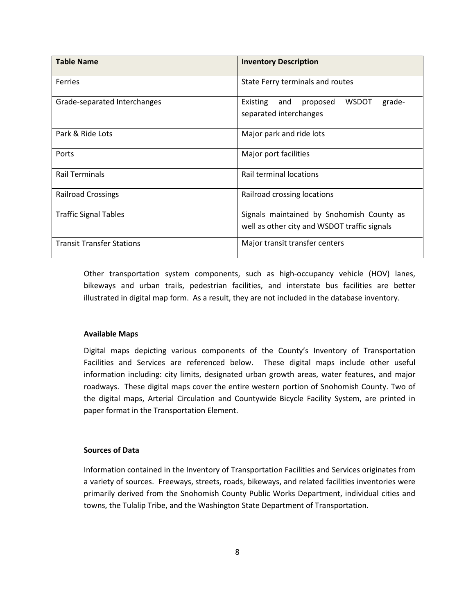| <b>Table Name</b>                | <b>Inventory Description</b>                                                              |
|----------------------------------|-------------------------------------------------------------------------------------------|
| <b>Ferries</b>                   | State Ferry terminals and routes                                                          |
| Grade-separated Interchanges     | <b>WSDOT</b><br>Existing<br>proposed<br>grade-<br>and<br>separated interchanges           |
| Park & Ride Lots                 | Major park and ride lots                                                                  |
| Ports                            | Major port facilities                                                                     |
| <b>Rail Terminals</b>            | <b>Rail terminal locations</b>                                                            |
| <b>Railroad Crossings</b>        | Railroad crossing locations                                                               |
| <b>Traffic Signal Tables</b>     | Signals maintained by Snohomish County as<br>well as other city and WSDOT traffic signals |
| <b>Transit Transfer Stations</b> | Major transit transfer centers                                                            |

Other transportation system components, such as high-occupancy vehicle (HOV) lanes, bikeways and urban trails, pedestrian facilities, and interstate bus facilities are better illustrated in digital map form. As a result, they are not included in the database inventory.

#### **Available Maps**

Digital maps depicting various components of the County's Inventory of Transportation Facilities and Services are referenced below. These digital maps include other useful information including: city limits, designated urban growth areas, water features, and major roadways. These digital maps cover the entire western portion of Snohomish County. Two of the digital maps, Arterial Circulation and Countywide Bicycle Facility System, are printed in paper format in the Transportation Element.

#### **Sources of Data**

Information contained in the Inventory of Transportation Facilities and Services originates from a variety of sources. Freeways, streets, roads, bikeways, and related facilities inventories were primarily derived from the Snohomish County Public Works Department, individual cities and towns, the Tulalip Tribe, and the Washington State Department of Transportation.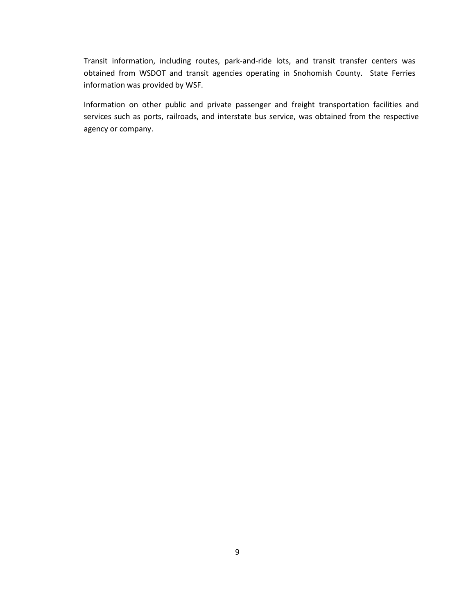Transit information, including routes, park-and-ride lots, and transit transfer centers was obtained from WSDOT and transit agencies operating in Snohomish County. State Ferries information was provided by WSF.

Information on other public and private passenger and freight transportation facilities and services such as ports, railroads, and interstate bus service, was obtained from the respective agency or company.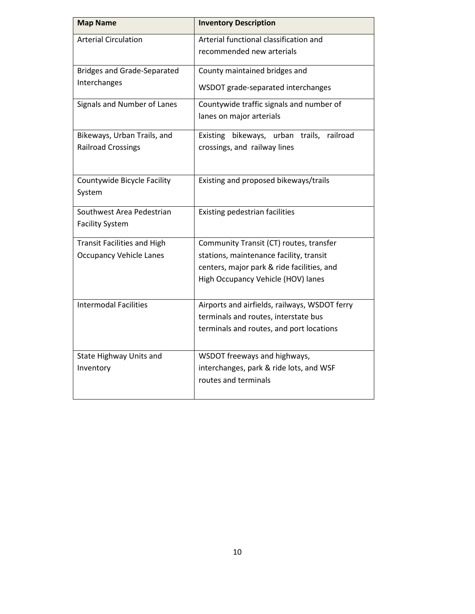| <b>Map Name</b>                                          | <b>Inventory Description</b>                                              |
|----------------------------------------------------------|---------------------------------------------------------------------------|
| <b>Arterial Circulation</b>                              | Arterial functional classification and<br>recommended new arterials       |
| <b>Bridges and Grade-Separated</b>                       | County maintained bridges and                                             |
| Interchanges                                             | WSDOT grade-separated interchanges                                        |
| Signals and Number of Lanes                              | Countywide traffic signals and number of<br>lanes on major arterials      |
| Bikeways, Urban Trails, and<br><b>Railroad Crossings</b> | Existing bikeways, urban trails, railroad<br>crossings, and railway lines |
| Countywide Bicycle Facility<br>System                    | Existing and proposed bikeways/trails                                     |
| Southwest Area Pedestrian<br><b>Facility System</b>      | Existing pedestrian facilities                                            |
| <b>Transit Facilities and High</b>                       | Community Transit (CT) routes, transfer                                   |
| <b>Occupancy Vehicle Lanes</b>                           | stations, maintenance facility, transit                                   |
|                                                          | centers, major park & ride facilities, and                                |
|                                                          | High Occupancy Vehicle (HOV) lanes                                        |
| <b>Intermodal Facilities</b>                             | Airports and airfields, railways, WSDOT ferry                             |
|                                                          | terminals and routes, interstate bus                                      |
|                                                          | terminals and routes, and port locations                                  |
| State Highway Units and                                  | WSDOT freeways and highways,                                              |
| Inventory                                                | interchanges, park & ride lots, and WSF                                   |
|                                                          | routes and terminals                                                      |